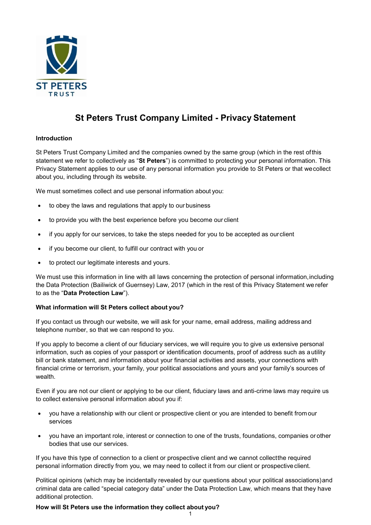

# **St Peters Trust Company Limited - Privacy Statement**

## **Introduction**

St Peters Trust Company Limited and the companies owned by the same group (which in the rest ofthis statement we refer to collectively as "**St Peters**") is committed to protecting your personal information. This Privacy Statement applies to our use of any personal information you provide to St Peters or that wecollect about you, including through its website.

We must sometimes collect and use personal information about you:

- to obey the laws and regulations that apply to our business
- to provide you with the best experience before you become our client
- if you apply for our services, to take the steps needed for you to be accepted as ourclient
- if you become our client, to fulfill our contract with you or
- to protect our legitimate interests and yours.

We must use this information in line with all laws concerning the protection of personal information, including the Data Protection (Bailiwick of Guernsey) Law, 2017 (which in the rest of this Privacy Statement we refer to as the "**Data Protection Law**").

## **What information will St Peters collect about you?**

If you contact us through our website, we will ask for your name, email address, mailing address and telephone number, so that we can respond to you.   

If you apply to become a client of our fiduciary services, we will require you to give us extensive personal information, such as copies of your passport or identification documents, proof of address such as autility bill or bank statement, and information about your financial activities and assets, your connections with financial crime or terrorism, your family, your political associations and yours and your family's sources of wealth.

Even if you are not our client or applying to be our client, fiduciary laws and anti-crime laws may require us to collect extensive personal information about you if:

- you have a relationship with our client or prospective client or you are intended to benefit from our services
- you have an important role, interest or connection to one of the trusts, foundations, companies or other bodies that use our services.

If you have this type of connection to a client or prospective client and we cannot collectthe required personal information directly from you, we may need to collect it from our client or prospective client.

Political opinions (which may be incidentally revealed by our questions about your political associations)and criminal data are called "special category data" under the Data Protection Law, which means that they have additional protection.

## **How will St Peters use the information they collect about you?**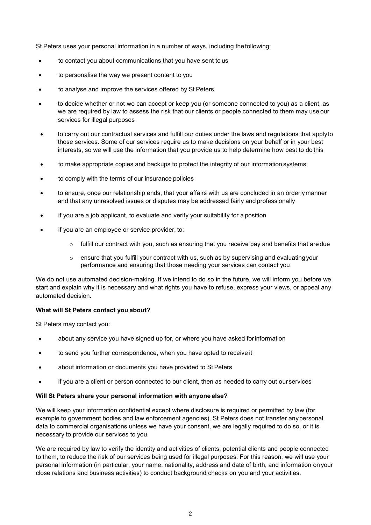St Peters uses your personal information in a number of ways, including thefollowing:

- to contact you about communications that you have sent to us
- to personalise the way we present content to you
- to analyse and improve the services offered by St Peters
- to decide whether or not we can accept or keep you (or someone connected to you) as a client, as we are required by law to assess the risk that our clients or people connected to them may use our services for illegal purposes
- to carry out our contractual services and fulfill our duties under the laws and regulations that applyto those services. Some of our services require us to make decisions on your behalf or in your best interests, so we will use the information that you provide us to help determine how best to do this
- to make appropriate copies and backups to protect the integrity of our information systems
- to comply with the terms of our insurance policies
- to ensure, once our relationship ends, that your affairs with us are concluded in an orderlymanner and that any unresolved issues or disputes may be addressed fairly and professionally
- if you are a job applicant, to evaluate and verify your suitability for a position
- if you are an employee or service provider, to:
	- $\circ$  fulfill our contract with you, such as ensuring that you receive pay and benefits that are due
	- $\circ$  ensure that you fulfill your contract with us, such as by supervising and evaluating your performance and ensuring that those needing your services can contact you

We do not use automated decision-making. If we intend to do so in the future, we will inform you before we start and explain why it is necessary and what rights you have to refuse, express your views, or appeal any automated decision.

## **What will St Peters contact you about?**

St Peters may contact you:

- about any service you have signed up for, or where you have asked forinformation
- to send you further correspondence, when you have opted to receive it
- about information or documents you have provided to St Peters
- if you are a client or person connected to our client, then as needed to carry out ourservices

### **Will St Peters share your personal information with anyone else?**

We will keep your information confidential except where disclosure is required or permitted by law (for example to government bodies and law enforcement agencies). St Peters does not transfer anypersonal data to commercial organisations unless we have your consent, we are legally required to do so, or it is necessary to provide our services to you.

We are required by law to verify the identity and activities of clients, potential clients and people connected to them, to reduce the risk of our services being used for illegal purposes. For this reason, we will use your personal information (in particular, your name, nationality, address and date of birth, and information on your close relations and business activities) to conduct background checks on you and your activities.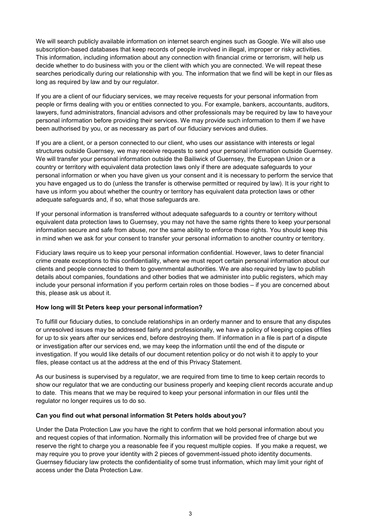We will search publicly available information on internet search engines such as Google. We will also use subscription-based databases that keep records of people involved in illegal, improper or risky activities. This information, including information about any connection with financial crime or terrorism, will help us decide whether to do business with you or the client with which you are connected. We will repeat these searches periodically during our relationship with you. The information that we find will be kept in our files as long as required by law and by our regulator.

If you are a client of our fiduciary services, we may receive requests for your personal information from people or firms dealing with you or entities connected to you. For example, bankers, accountants, auditors, lawyers, fund administrators, financial advisors and other professionals may be required by law to haveyour personal information before providing their services. We may provide such information to them if we have been authorised by you, or as necessary as part of our fiduciary services and duties.

If you are a client, or a person connected to our client, who uses our assistance with interests or legal structures outside Guernsey, we may receive requests to send your personal information outside Guernsey. We will transfer your personal information outside the Bailiwick of Guernsey, the European Union or a country or territory with equivalent data protection laws only if there are adequate safeguards to your personal information or when you have given us your consent and it is necessary to perform the service that you have engaged us to do (unless the transfer is otherwise permitted or required by law). It is your right to have us inform you about whether the country or territory has equivalent data protection laws or other adequate safeguards and, if so, what those safeguards are.

If your personal information is transferred without adequate safeguards to a country or territory without equivalent data protection laws to Guernsey, you may not have the same rights there to keep yourpersonal information secure and safe from abuse, nor the same ability to enforce those rights. You should keep this in mind when we ask for your consent to transfer your personal information to another country or territory.

Fiduciary laws require us to keep your personal information confidential. However, laws to deter financial crime create exceptions to this confidentiality, where we must report certain personal information about our clients and people connected to them to governmental authorities. We are also required by law to publish details about companies, foundations and other bodies that we administer into public registers, which may include your personal information if you perform certain roles on those bodies – if you are concerned about this, please ask us about it.

## **How long will St Peters keep your personal information?**

To fulfill our fiduciary duties, to conclude relationships in an orderly manner and to ensure that any disputes or unresolved issues may be addressed fairly and professionally, we have a policy of keeping copies of files for up to six years after our services end, before destroying them. If information in a file is part of a dispute or investigation after our services end, we may keep the information until the end of the dispute or investigation. If you would like details of our document retention policy or do not wish it to apply to your files, please contact us at the address at the end of this Privacy Statement.

As our business is supervised by a regulator, we are required from time to time to keep certain records to show our regulator that we are conducting our business properly and keeping client records accurate andup to date. This means that we may be required to keep your personal information in our files until the regulator no longer requires us to do so.

## **Can you find out what personal information St Peters holds about you?**

Under the Data Protection Law you have the right to confirm that we hold personal information about you and request copies of that information. Normally this information will be provided free of charge but we reserve the right to charge you a reasonable fee if you request multiple copies. If you make a request, we may require you to prove your identity with 2 pieces of government-issued photo identity documents. Guernsey fiduciary law protects the confidentiality of some trust information, which may limit your right of access under the Data Protection Law.